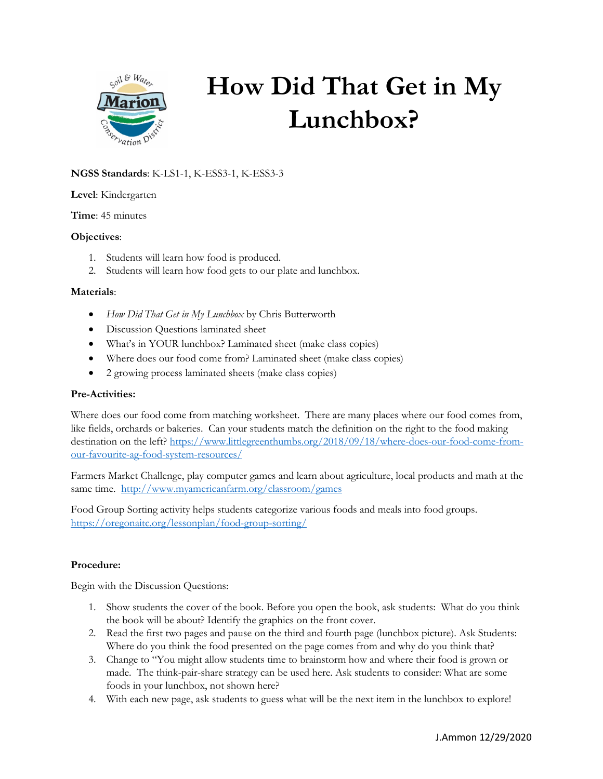

# **How Did That Get in My Lunchbox?**

## **NGSS Standards**: K-LS1-1, K-ESS3-1, K-ESS3-3

### **Level**: Kindergarten

**Time**: 45 minutes

### **Objectives**:

- 1. Students will learn how food is produced.
- 2. Students will learn how food gets to our plate and lunchbox.

### **Materials**:

- *How Did That Get in My Lunchbox* by Chris Butterworth
- Discussion Questions laminated sheet
- What's in YOUR lunchbox? Laminated sheet (make class copies)
- Where does our food come from? Laminated sheet (make class copies)
- 2 growing process laminated sheets (make class copies)

### **Pre-Activities:**

Where does our food come from matching worksheet. There are many places where our food comes from, like fields, orchards or bakeries. Can your students match the definition on the right to the food making destination on the left? [https://www.littlegreenthumbs.org/2018/09/18/where-does-our-food-come-from](https://www.littlegreenthumbs.org/2018/09/18/where-does-our-food-come-from-our-favourite-ag-food-system-resources/)[our-favourite-ag-food-system-resources/](https://www.littlegreenthumbs.org/2018/09/18/where-does-our-food-come-from-our-favourite-ag-food-system-resources/)

Farmers Market Challenge, play computer games and learn about agriculture, local products and math at the same time. <http://www.myamericanfarm.org/classroom/games>

Food Group Sorting activity helps students categorize various foods and meals into food groups. <https://oregonaitc.org/lessonplan/food-group-sorting/>

### **Procedure:**

Begin with the Discussion Questions:

- 1. Show students the cover of the book. Before you open the book, ask students: What do you think the book will be about? Identify the graphics on the front cover.
- 2. Read the first two pages and pause on the third and fourth page (lunchbox picture). Ask Students: Where do you think the food presented on the page comes from and why do you think that?
- 3. Change to "You might allow students time to brainstorm how and where their food is grown or made. The think-pair-share strategy can be used here. Ask students to consider: What are some foods in your lunchbox, not shown here?
- 4. With each new page, ask students to guess what will be the next item in the lunchbox to explore!